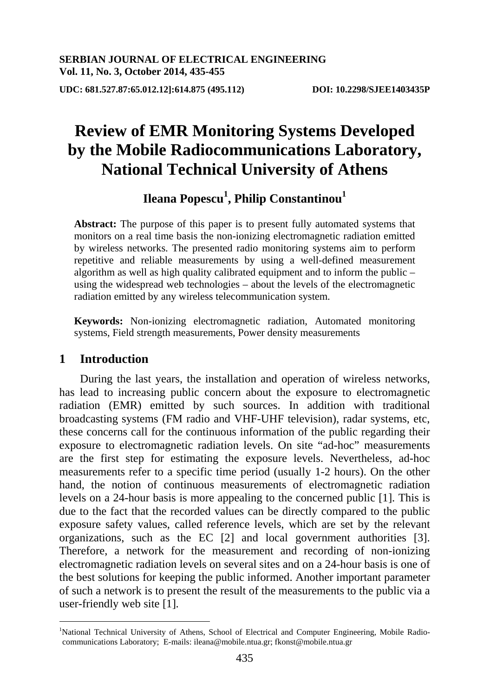**UDC: 681.527.87:65.012.12]:614.875 (495.112) DOI: 10.2298/SJEE1403435P**

# **Review of EMR Monitoring Systems Developed by the Mobile Radiocommunications Laboratory, National Technical University of Athens**

# $\bf \text{Ileana Popescu}^1, \text{Philip Constantinou}^1$

**Abstract:** The purpose of this paper is to present fully automated systems that monitors on a real time basis the non-ionizing electromagnetic radiation emitted by wireless networks. The presented radio monitoring systems aim to perform repetitive and reliable measurements by using a well-defined measurement algorithm as well as high quality calibrated equipment and to inform the public – using the widespread web technologies – about the levels of the electromagnetic radiation emitted by any wireless telecommunication system.

**Keywords:** Non-ionizing electromagnetic radiation, Automated monitoring systems, Field strength measurements, Power density measurements

# **1 Introduction**

 $\overline{a}$ 

During the last years, the installation and operation of wireless networks, has lead to increasing public concern about the exposure to electromagnetic radiation (EMR) emitted by such sources. In addition with traditional broadcasting systems (FM radio and VHF-UHF television), radar systems, etc, these concerns call for the continuous information of the public regarding their exposure to electromagnetic radiation levels. On site "ad-hoc" measurements are the first step for estimating the exposure levels. Nevertheless, ad-hoc measurements refer to a specific time period (usually 1-2 hours). On the other hand, the notion of continuous measurements of electromagnetic radiation levels on a 24-hour basis is more appealing to the concerned public [1]. This is due to the fact that the recorded values can be directly compared to the public exposure safety values, called reference levels, which are set by the relevant organizations, such as the EC [2] and local government authorities [3]. Therefore, a network for the measurement and recording of non-ionizing electromagnetic radiation levels on several sites and on a 24-hour basis is one of the best solutions for keeping the public informed. Another important parameter of such a network is to present the result of the measurements to the public via a user-friendly web site [1].

<sup>&</sup>lt;sup>1</sup>National Technical University of Athens, School of Electrical and Computer Engineering, Mobile Radiocommunications Laboratory; E-mails: ileana@mobile.ntua.gr; fkonst@mobile.ntua.gr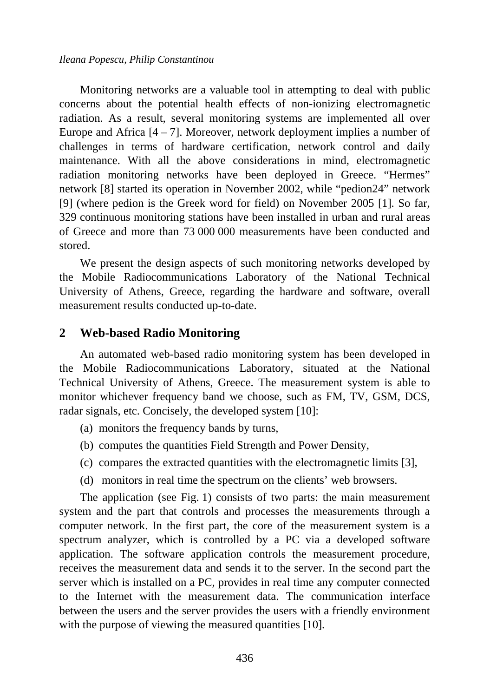Monitoring networks are a valuable tool in attempting to deal with public concerns about the potential health effects of non-ionizing electromagnetic radiation. As a result, several monitoring systems are implemented all over Europe and Africa  $[4 - 7]$ . Moreover, network deployment implies a number of challenges in terms of hardware certification, network control and daily maintenance. With all the above considerations in mind, electromagnetic radiation monitoring networks have been deployed in Greece. "Hermes" network [8] started its operation in November 2002, while "pedion24" network [9] (where pedion is the Greek word for field) on November 2005 [1]. So far, 329 continuous monitoring stations have been installed in urban and rural areas of Greece and more than 73 000 000 measurements have been conducted and stored.

We present the design aspects of such monitoring networks developed by the Mobile Radiocommunications Laboratory of the National Technical University of Athens, Greece, regarding the hardware and software, overall measurement results conducted up-to-date.

# **2 Web-based Radio Monitoring**

An automated web-based radio monitoring system has been developed in the Mobile Radiocommunications Laboratory, situated at the National Technical University of Athens, Greece. The measurement system is able to monitor whichever frequency band we choose, such as FM, TV, GSM, DCS, radar signals, etc. Concisely, the developed system [10]:

- (a) monitors the frequency bands by turns,
- (b) computes the quantities Field Strength and Power Density,
- (c) compares the extracted quantities with the electromagnetic limits [3],
- (d) monitors in real time the spectrum on the clients' web browsers.

The application (see Fig. 1) consists of two parts: the main measurement system and the part that controls and processes the measurements through a computer network. In the first part, the core of the measurement system is a spectrum analyzer, which is controlled by a PC via a developed software application. The software application controls the measurement procedure, receives the measurement data and sends it to the server. In the second part the server which is installed on a PC, provides in real time any computer connected to the Internet with the measurement data. The communication interface between the users and the server provides the users with a friendly environment with the purpose of viewing the measured quantities [10].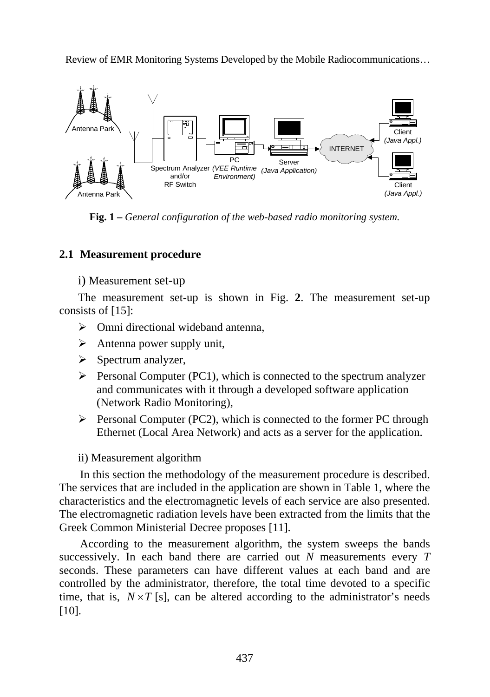

**Fig. 1 –** *General configuration of the web-based radio monitoring system.* 

# **2.1 Measurement procedure**

# i) Measurement set-up

The measurement set-up is shown in Fig. **2**. The measurement set-up consists of [15]:

- $\triangleright$  Omni directional wideband antenna,
- $\triangleright$  Antenna power supply unit,
- $\triangleright$  Spectrum analyzer,
- $\triangleright$  Personal Computer (PC1), which is connected to the spectrum analyzer and communicates with it through a developed software application (Network Radio Monitoring),
- $\triangleright$  Personal Computer (PC2), which is connected to the former PC through Ethernet (Local Area Network) and acts as a server for the application.
- ii) Measurement algorithm

In this section the methodology of the measurement procedure is described. The services that are included in the application are shown in Table 1, where the characteristics and the electromagnetic levels of each service are also presented. The electromagnetic radiation levels have been extracted from the limits that the Greek Common Ministerial Decree proposes [11].

According to the measurement algorithm, the system sweeps the bands successively. In each band there are carried out *N* measurements every *T* seconds. These parameters can have different values at each band and are controlled by the administrator, therefore, the total time devoted to a specific time, that is,  $N \times T$  [s], can be altered according to the administrator's needs [10].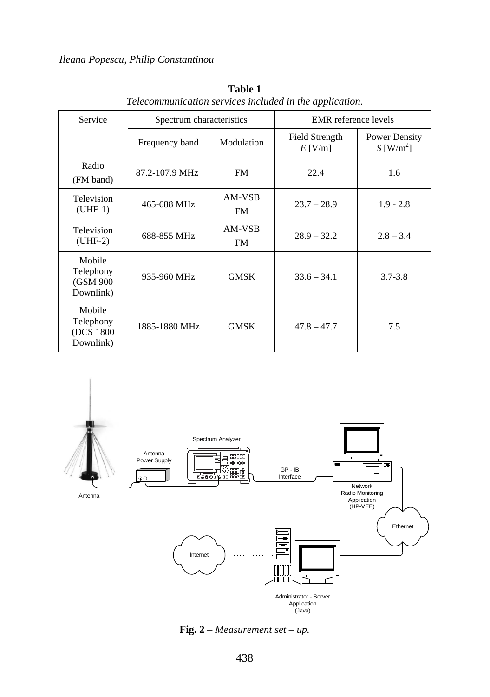| Service                                        | Spectrum characteristics |                              | EMR reference levels        |                                          |  |
|------------------------------------------------|--------------------------|------------------------------|-----------------------------|------------------------------------------|--|
|                                                | Frequency band           | Modulation                   | Field Strength<br>$E$ [V/m] | Power Density<br>$S$ [W/m <sup>2</sup> ] |  |
| Radio<br>(FM band)                             | 87.2-107.9 MHz           | <b>FM</b>                    | 22.4                        | 1.6                                      |  |
| Television<br>$(UHF-1)$                        | 465-688 MHz              | AM-VSB<br>FM.                | $23.7 - 28.9$               | $1.9 - 2.8$                              |  |
| Television<br>$(UHF-2)$                        | 688-855 MHz              | AM-VSB<br>FM.                | $28.9 - 32.2$               | $2.8 - 3.4$                              |  |
| Mobile<br>Telephony<br>(GSM 900<br>Downlink)   | 935-960 MHz              | <b>GMSK</b>                  | $33.6 - 34.1$               | $3.7 - 3.8$                              |  |
| Mobile<br>Telephony<br>(DCS 1800)<br>Downlink) | 1885-1880 MHz            | <b>GMSK</b><br>$47.8 - 47.7$ |                             | 7.5                                      |  |

**Table 1**  *Telecommunication services included in the application.* 



**Fig. 2** – *Measurement set – up.*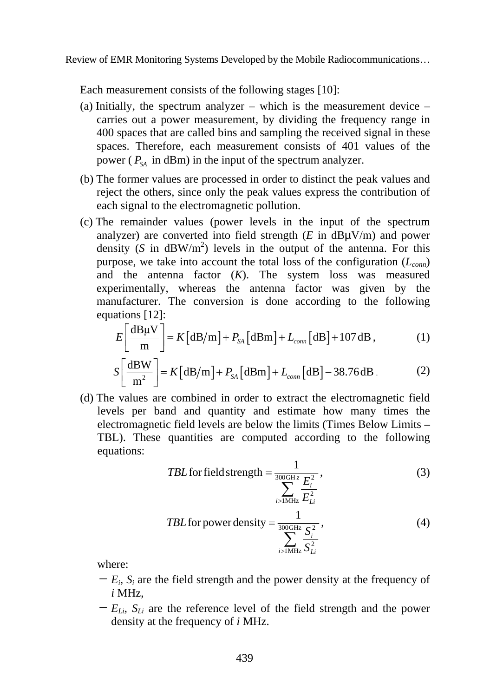Each measurement consists of the following stages [10]:

- (a) Initially, the spectrum analyzer which is the measurement device carries out a power measurement, by dividing the frequency range in 400 spaces that are called bins and sampling the received signal in these spaces. Therefore, each measurement consists of 401 values of the power ( $P_{\rm SA}$  in dBm) in the input of the spectrum analyzer.
- (b) The former values are processed in order to distinct the peak values and reject the others, since only the peak values express the contribution of each signal to the electromagnetic pollution.
- (c) The remainder values (power levels in the input of the spectrum analyzer) are converted into field strength  $(E$  in  $dB\mu V/m$  and power density ( $S$  in  $dBW/m<sup>2</sup>$ ) levels in the output of the antenna. For this purpose, we take into account the total loss of the configuration  $(L_{conn})$ and the antenna factor (*K*). The system loss was measured experimentally, whereas the antenna factor was given by the manufacturer. The conversion is done according to the following equations [12]:

$$
E\left[\frac{\text{dB}\mu\text{V}}{\text{m}}\right] = K\left[\text{dB}/\text{m}\right] + P_{SA}\left[\text{dB}\text{m}\right] + L_{conn}\left[\text{dB}\right] + 107\,\text{dB},\tag{1}
$$

$$
S\left[\frac{\text{dBW}}{\text{m}^2}\right] = K\left[\text{dB/m}\right] + P_{SA}\left[\text{dBm}\right] + L_{conn}\left[\text{dB}\right] - 38.76 \text{dB}.
$$
 (2)

(d) The values are combined in order to extract the electromagnetic field levels per band and quantity and estimate how many times the electromagnetic field levels are below the limits (Times Below Limits – TBL). These quantities are computed according to the following equations:

*TBL* for field strength = 
$$
\frac{1}{\sum_{i>1 \text{MHz}}^{300 \text{GHz}} \frac{E_i^2}{E_{Li}^2}}
$$
 (3)

*TBL* for power density = 
$$
\frac{1}{\sum_{i>1 \text{MHz}}^{300 \text{GHz}} \frac{S_i^2}{S_{Li}^2}}
$$
 (4)

where:

- $-E_i$ ,  $S_i$  are the field strength and the power density at the frequency of *i* MHz,
- $-E_{Li}$ ,  $S_{Li}$  are the reference level of the field strength and the power density at the frequency of *i* MHz.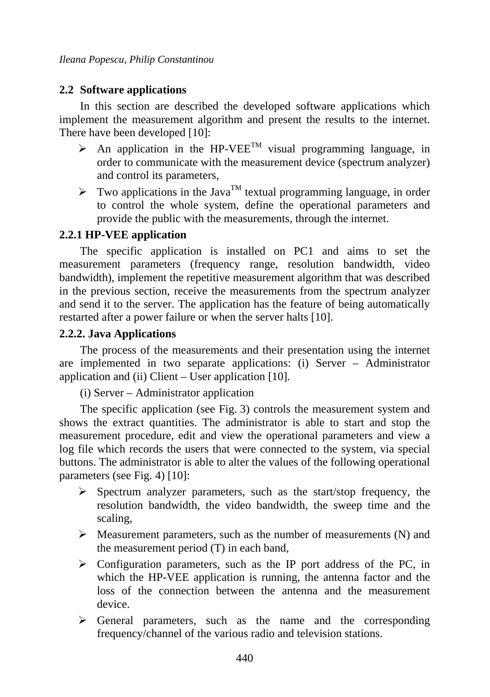# **2.2 Software applications**

In this section are described the developed software applications which implement the measurement algorithm and present the results to the internet. There have been developed [10]:

- $\triangleright$  An application in the HP-VEE<sup>TM</sup> visual programming language, in order to communicate with the measurement device (spectrum analyzer) and control its parameters,
- $\triangleright$  Two applications in the Java<sup>TM</sup> textual programming language, in order to control the whole system, define the operational parameters and provide the public with the measurements, through the internet.

# **2.2.1 HP-VEE application**

The specific application is installed on PC1 and aims to set the measurement parameters (frequency range, resolution bandwidth, video bandwidth), implement the repetitive measurement algorithm that was described in the previous section, receive the measurements from the spectrum analyzer and send it to the server. The application has the feature of being automatically restarted after a power failure or when the server halts [10].

# **2.2.2. Java Applications**

The process of the measurements and their presentation using the internet are implemented in two separate applications: (i) Server – Administrator application and (ii) Client – User application [10].

(i) Server – Administrator application

The specific application (see Fig. 3) controls the measurement system and shows the extract quantities. The administrator is able to start and stop the measurement procedure, edit and view the operational parameters and view a log file which records the users that were connected to the system, via special buttons. The administrator is able to alter the values of the following operational parameters (see Fig. 4) [10]:

- $\triangleright$  Spectrum analyzer parameters, such as the start/stop frequency, the resolution bandwidth, the video bandwidth, the sweep time and the scaling,
- $\triangleright$  Measurement parameters, such as the number of measurements (N) and the measurement period (T) in each band,
- $\triangleright$  Configuration parameters, such as the IP port address of the PC, in which the HP-VEE application is running, the antenna factor and the loss of the connection between the antenna and the measurement device.
- $\triangleright$  General parameters, such as the name and the corresponding frequency/channel of the various radio and television stations.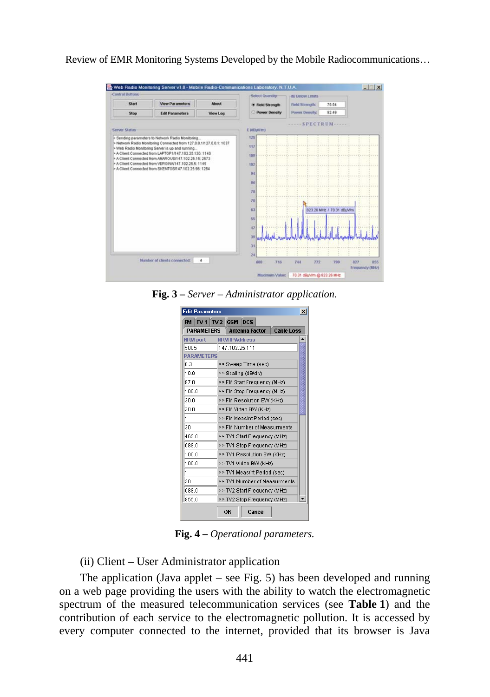

**Fig. 3** *– Server – Administrator application.*

| <b>Edit Parameters</b><br>$\mathbf{x}$ |                              |                              |                             |        |                              |  |  |
|----------------------------------------|------------------------------|------------------------------|-----------------------------|--------|------------------------------|--|--|
| TV1 TV2 GSM DCS<br><b>FM</b>           |                              |                              |                             |        |                              |  |  |
| <b>PARAMETERS</b>                      |                              | <b>Antenna Factor</b>        |                             |        | <b>Cable Loss</b>            |  |  |
| NRM port                               |                              |                              | <b>NRM IPAddress</b>        |        |                              |  |  |
| 5005                                   |                              | 147.102.25.111               |                             |        |                              |  |  |
| <b>PARAMETERS</b>                      |                              |                              |                             |        |                              |  |  |
| 0.3                                    |                              | >> Sweep Time (sec)          |                             |        |                              |  |  |
| 10.0                                   |                              |                              | >> Scaling (dB/div)         |        |                              |  |  |
| 87.0                                   |                              |                              | >> FM Start Frequency (MHz) |        |                              |  |  |
| 109.0                                  |                              |                              | >> FM Stop Frequency (MHz)  |        |                              |  |  |
| 30.0                                   |                              |                              | >> FM Resolution BW (KHz)   |        |                              |  |  |
| 30.0                                   |                              |                              | >> FM Video BW (KHz)        |        |                              |  |  |
| 1                                      |                              | >> FM Meas/nt Period (sec)   |                             |        |                              |  |  |
| 30                                     | >> FM Number of Measurments  |                              |                             |        |                              |  |  |
| 465.0                                  |                              |                              |                             |        | >> TV1 Start Frequency (MHz) |  |  |
| 688.0                                  |                              |                              |                             |        | >> TV1 Stop Frequency (MHz)  |  |  |
| 100.0                                  |                              | >> TV1 Resolution BW (KHz)   |                             |        |                              |  |  |
| 100.0                                  |                              | >> TV1 Video BW (KHz)        |                             |        |                              |  |  |
| 1                                      | >> TV1 Meas/nt Period (sec)  |                              |                             |        |                              |  |  |
| 30                                     | >> TV1 Number of Measurments |                              |                             |        |                              |  |  |
| 688.0                                  |                              | >> TV2 Start Frequency (MHz) |                             |        |                              |  |  |
| 855.0                                  | >> TV2 Stop Frequency (MHz)  |                              |                             |        |                              |  |  |
|                                        |                              | ОК                           |                             | Cancel |                              |  |  |

**Fig. 4 –** *Operational parameters.* 

(ii) Client – User Administrator application

The application (Java applet – see Fig. 5) has been developed and running on a web page providing the users with the ability to watch the electromagnetic spectrum of the measured telecommunication services (see **Table 1**) and the contribution of each service to the electromagnetic pollution. It is accessed by every computer connected to the internet, provided that its browser is Java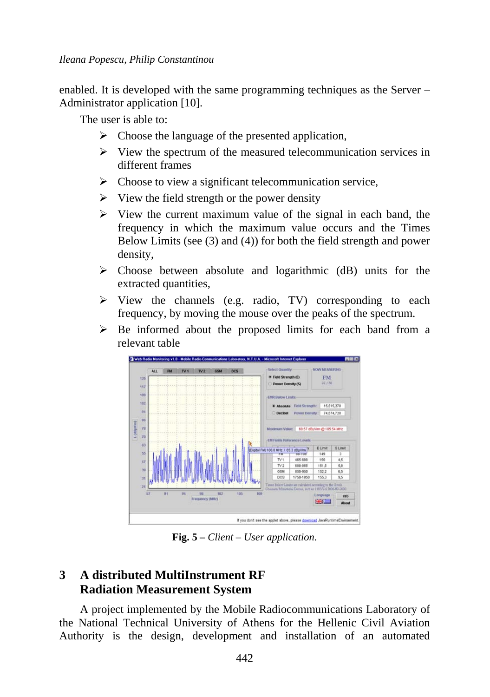*Ileana Popescu, Philip Constantinou* 

enabled. It is developed with the same programming techniques as the Server – Administrator application [10].

The user is able to:

- $\triangleright$  Choose the language of the presented application,
- $\triangleright$  View the spectrum of the measured telecommunication services in different frames
- $\triangleright$  Choose to view a significant telecommunication service,
- $\triangleright$  View the field strength or the power density
- $\triangleright$  View the current maximum value of the signal in each band, the frequency in which the maximum value occurs and the Times Below Limits (see (3) and (4)) for both the field strength and power density,
- $\triangleright$  Choose between absolute and logarithmic (dB) units for the extracted quantities,
- $\triangleright$  View the channels (e.g. radio, TV) corresponding to each frequency, by moving the mouse over the peaks of the spectrum.
- $\triangleright$  Be informed about the proposed limits for each band from a relevant table



**Fig. 5** *– Client – User application.* 

# **3 A distributed MultiInstrument RF Radiation Measurement System**

A project implemented by the Mobile Radiocommunications Laboratory of the National Technical University of Athens for the Hellenic Civil Aviation Authority is the design, development and installation of an automated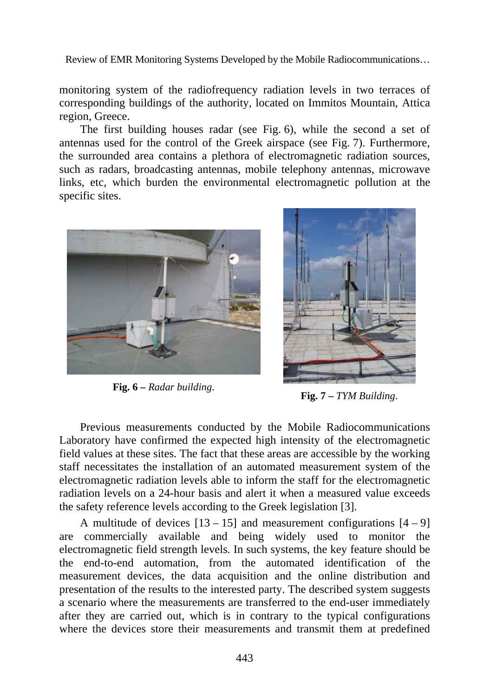monitoring system of the radiofrequency radiation levels in two terraces of corresponding buildings of the authority, located on Immitos Mountain, Attica region, Greece.

The first building houses radar (see Fig. 6), while the second a set of antennas used for the control of the Greek airspace (see Fig. 7). Furthermore, the surrounded area contains a plethora of electromagnetic radiation sources, such as radars, broadcasting antennas, mobile telephony antennas, microwave links, etc, which burden the environmental electromagnetic pollution at the specific sites.



**Fig. 6** *– Radar building*. **Fig. 7 –** *TYM Building*.



Previous measurements conducted by the Mobile Radiocommunications Laboratory have confirmed the expected high intensity of the electromagnetic field values at these sites. The fact that these areas are accessible by the working staff necessitates the installation of an automated measurement system of the electromagnetic radiation levels able to inform the staff for the electromagnetic radiation levels on a 24-hour basis and alert it when a measured value exceeds the safety reference levels according to the Greek legislation [3].

A multitude of devices  $[13 - 15]$  and measurement configurations  $[4 - 9]$ are commercially available and being widely used to monitor the electromagnetic field strength levels. In such systems, the key feature should be the end-to-end automation, from the automated identification of the measurement devices, the data acquisition and the online distribution and presentation of the results to the interested party. The described system suggests a scenario where the measurements are transferred to the end-user immediately after they are carried out, which is in contrary to the typical configurations where the devices store their measurements and transmit them at predefined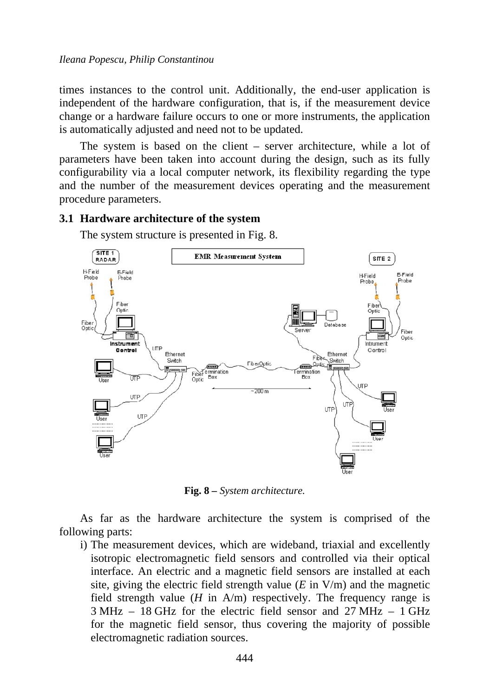times instances to the control unit. Additionally, the end-user application is independent of the hardware configuration, that is, if the measurement device change or a hardware failure occurs to one or more instruments, the application is automatically adjusted and need not to be updated.

The system is based on the client – server architecture, while a lot of parameters have been taken into account during the design, such as its fully configurability via a local computer network, its flexibility regarding the type and the number of the measurement devices operating and the measurement procedure parameters.

#### **3.1 Hardware architecture of the system**

The system structure is presented in Fig. 8.



**Fig. 8** *– System architecture.* 

As far as the hardware architecture the system is comprised of the following parts:

i) The measurement devices, which are wideband, triaxial and excellently isotropic electromagnetic field sensors and controlled via their optical interface. An electric and a magnetic field sensors are installed at each site, giving the electric field strength value  $(E \text{ in } V/m)$  and the magnetic field strength value  $(H \text{ in } A/m)$  respectively. The frequency range is 3 MHz – 18 GHz for the electric field sensor and 27 MHz – 1 GHz for the magnetic field sensor, thus covering the majority of possible electromagnetic radiation sources.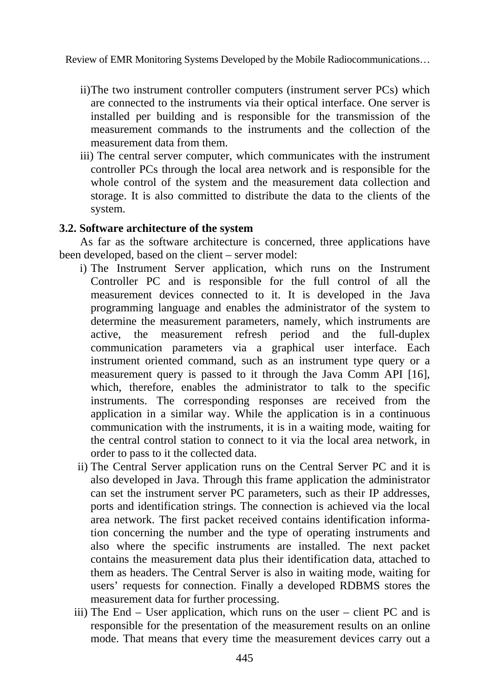- ii) The two instrument controller computers (instrument server PCs) which are connected to the instruments via their optical interface. One server is installed per building and is responsible for the transmission of the measurement commands to the instruments and the collection of the measurement data from them.
- iii) The central server computer, which communicates with the instrument controller PCs through the local area network and is responsible for the whole control of the system and the measurement data collection and storage. It is also committed to distribute the data to the clients of the system.

#### **3.2. Software architecture of the system**

As far as the software architecture is concerned, three applications have been developed, based on the client – server model:

- i) The Instrument Server application, which runs on the Instrument Controller PC and is responsible for the full control of all the measurement devices connected to it. It is developed in the Java programming language and enables the administrator of the system to determine the measurement parameters, namely, which instruments are active, the measurement refresh period and the full-duplex communication parameters via a graphical user interface. Each instrument oriented command, such as an instrument type query or a measurement query is passed to it through the Java Comm API [16], which, therefore, enables the administrator to talk to the specific instruments. The corresponding responses are received from the application in a similar way. While the application is in a continuous communication with the instruments, it is in a waiting mode, waiting for the central control station to connect to it via the local area network, in order to pass to it the collected data.
- ii) The Central Server application runs on the Central Server PC and it is also developed in Java. Through this frame application the administrator can set the instrument server PC parameters, such as their IP addresses, ports and identification strings. The connection is achieved via the local area network. The first packet received contains identification information concerning the number and the type of operating instruments and also where the specific instruments are installed. The next packet contains the measurement data plus their identification data, attached to them as headers. The Central Server is also in waiting mode, waiting for users' requests for connection. Finally a developed RDBMS stores the measurement data for further processing.
- iii) The End User application, which runs on the user client PC and is responsible for the presentation of the measurement results on an online mode. That means that every time the measurement devices carry out a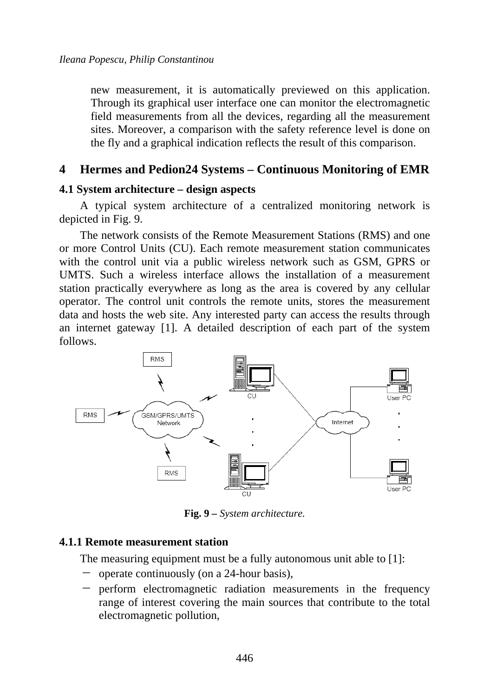new measurement, it is automatically previewed on this application. Through its graphical user interface one can monitor the electromagnetic field measurements from all the devices, regarding all the measurement sites. Moreover, a comparison with the safety reference level is done on the fly and a graphical indication reflects the result of this comparison.

# **4 Hermes and Pedion24 Systems – Continuous Monitoring of EMR**

#### **4.1 System architecture – design aspects**

A typical system architecture of a centralized monitoring network is depicted in Fig. 9.

The network consists of the Remote Measurement Stations (RMS) and one or more Control Units (CU). Each remote measurement station communicates with the control unit via a public wireless network such as GSM, GPRS or UMTS. Such a wireless interface allows the installation of a measurement station practically everywhere as long as the area is covered by any cellular operator. The control unit controls the remote units, stores the measurement data and hosts the web site. Any interested party can access the results through an internet gateway [1]. A detailed description of each part of the system follows.



**Fig. 9** *– System architecture.* 

#### **4.1.1 Remote measurement station**

The measuring equipment must be a fully autonomous unit able to [1]:

- ̶ operate continuously (on a 24-hour basis),
- ̶ perform electromagnetic radiation measurements in the frequency range of interest covering the main sources that contribute to the total electromagnetic pollution,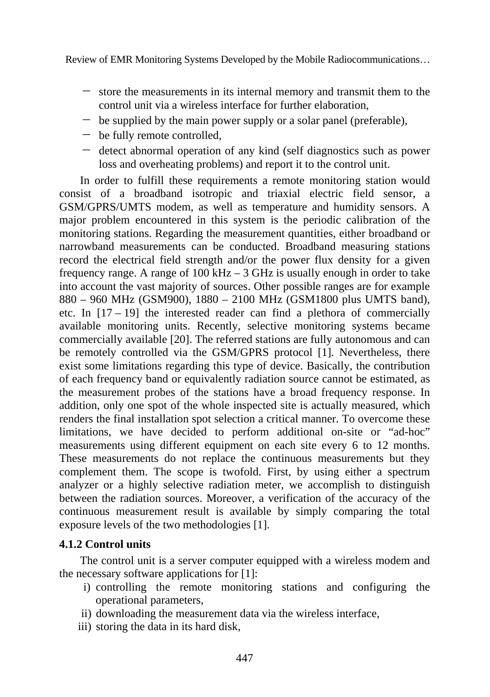- ̶ store the measurements in its internal memory and transmit them to the control unit via a wireless interface for further elaboration,
- ̶ be supplied by the main power supply or a solar panel (preferable),
- ̶ be fully remote controlled,
- ̶ detect abnormal operation of any kind (self diagnostics such as power loss and overheating problems) and report it to the control unit.

In order to fulfill these requirements a remote monitoring station would consist of a broadband isotropic and triaxial electric field sensor, a GSM/GPRS/UMTS modem, as well as temperature and humidity sensors. A major problem encountered in this system is the periodic calibration of the monitoring stations. Regarding the measurement quantities, either broadband or narrowband measurements can be conducted. Broadband measuring stations record the electrical field strength and/or the power flux density for a given frequency range. A range of  $100 \text{ kHz} - 3 \text{ GHz}$  is usually enough in order to take into account the vast majority of sources. Other possible ranges are for example 880 – 960 MHz (GSM900), 1880 – 2100 MHz (GSM1800 plus UMTS band), etc. In  $[17 - 19]$  the interested reader can find a plethora of commercially available monitoring units. Recently, selective monitoring systems became commercially available [20]. The referred stations are fully autonomous and can be remotely controlled via the GSM/GPRS protocol [1]. Nevertheless, there exist some limitations regarding this type of device. Basically, the contribution of each frequency band or equivalently radiation source cannot be estimated, as the measurement probes of the stations have a broad frequency response. In addition, only one spot of the whole inspected site is actually measured, which renders the final installation spot selection a critical manner. To overcome these limitations, we have decided to perform additional on-site or "ad-hoc" measurements using different equipment on each site every 6 to 12 months. These measurements do not replace the continuous measurements but they complement them. The scope is twofold. First, by using either a spectrum analyzer or a highly selective radiation meter, we accomplish to distinguish between the radiation sources. Moreover, a verification of the accuracy of the continuous measurement result is available by simply comparing the total exposure levels of the two methodologies [1].

# **4.1.2 Control units**

The control unit is a server computer equipped with a wireless modem and the necessary software applications for [1]:

- i) controlling the remote monitoring stations and configuring the operational parameters,
- ii) downloading the measurement data via the wireless interface,
- iii) storing the data in its hard disk,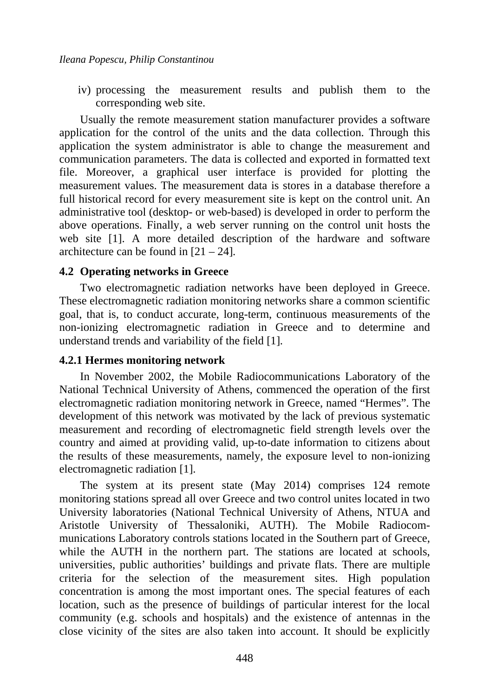iv) processing the measurement results and publish them to the corresponding web site.

Usually the remote measurement station manufacturer provides a software application for the control of the units and the data collection. Through this application the system administrator is able to change the measurement and communication parameters. The data is collected and exported in formatted text file. Moreover, a graphical user interface is provided for plotting the measurement values. The measurement data is stores in a database therefore a full historical record for every measurement site is kept on the control unit. An administrative tool (desktop- or web-based) is developed in order to perform the above operations. Finally, a web server running on the control unit hosts the web site [1]. A more detailed description of the hardware and software architecture can be found in  $[21 – 24]$ .

#### **4.2 Operating networks in Greece**

Two electromagnetic radiation networks have been deployed in Greece. These electromagnetic radiation monitoring networks share a common scientific goal, that is, to conduct accurate, long-term, continuous measurements of the non-ionizing electromagnetic radiation in Greece and to determine and understand trends and variability of the field [1].

#### **4.2.1 Hermes monitoring network**

In November 2002, the Mobile Radiocommunications Laboratory of the National Technical University of Athens, commenced the operation of the first electromagnetic radiation monitoring network in Greece, named "Hermes". The development of this network was motivated by the lack of previous systematic measurement and recording of electromagnetic field strength levels over the country and aimed at providing valid, up-to-date information to citizens about the results of these measurements, namely, the exposure level to non-ionizing electromagnetic radiation [1].

The system at its present state (May 2014) comprises 124 remote monitoring stations spread all over Greece and two control unites located in two University laboratories (National Technical University of Athens, NTUA and Aristotle University of Thessaloniki, AUTH). The Mobile Radiocommunications Laboratory controls stations located in the Southern part of Greece, while the AUTH in the northern part. The stations are located at schools, universities, public authorities' buildings and private flats. There are multiple criteria for the selection of the measurement sites. High population concentration is among the most important ones. The special features of each location, such as the presence of buildings of particular interest for the local community (e.g. schools and hospitals) and the existence of antennas in the close vicinity of the sites are also taken into account. It should be explicitly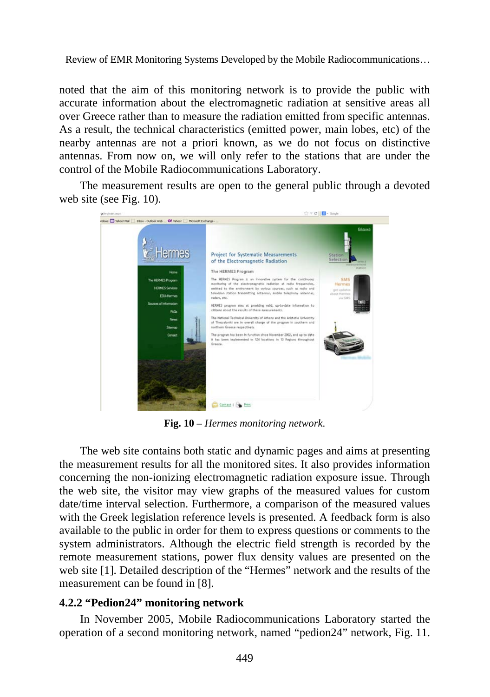noted that the aim of this monitoring network is to provide the public with accurate information about the electromagnetic radiation at sensitive areas all over Greece rather than to measure the radiation emitted from specific antennas. As a result, the technical characteristics (emitted power, main lobes, etc) of the nearby antennas are not a priori known, as we do not focus on distinctive antennas. From now on, we will only refer to the stations that are under the control of the Mobile Radiocommunications Laboratory.

The measurement results are open to the general public through a devoted web site (see Fig. 10).



**Fig. 10 –** *Hermes monitoring network*.

The web site contains both static and dynamic pages and aims at presenting the measurement results for all the monitored sites. It also provides information concerning the non-ionizing electromagnetic radiation exposure issue. Through the web site, the visitor may view graphs of the measured values for custom date/time interval selection. Furthermore, a comparison of the measured values with the Greek legislation reference levels is presented. A feedback form is also available to the public in order for them to express questions or comments to the system administrators. Although the electric field strength is recorded by the remote measurement stations, power flux density values are presented on the web site [1]. Detailed description of the "Hermes" network and the results of the measurement can be found in [8].

#### **4.2.2 "Pedion24" monitoring network**

In November 2005, Mobile Radiocommunications Laboratory started the operation of a second monitoring network, named "pedion24" network, Fig. 11.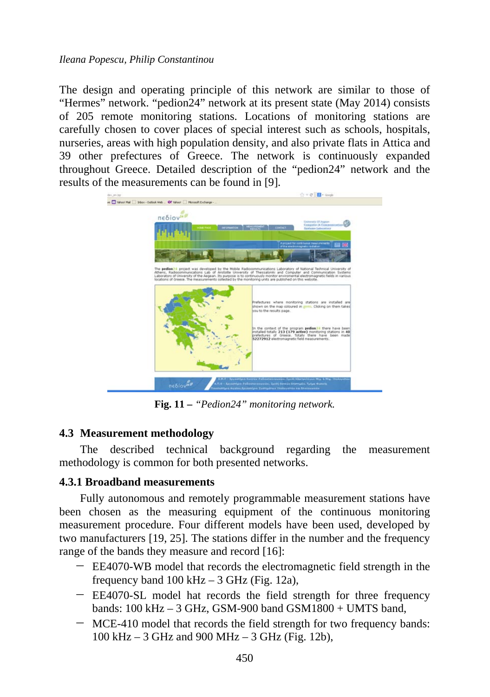#### *Ileana Popescu, Philip Constantinou*

The design and operating principle of this network are similar to those of "Hermes" network. "pedion24" network at its present state (May 2014) consists of 205 remote monitoring stations. Locations of monitoring stations are carefully chosen to cover places of special interest such as schools, hospitals, nurseries, areas with high population density, and also private flats in Attica and 39 other prefectures of Greece. The network is continuously expanded throughout Greece. Detailed description of the "pedion24" network and the results of the measurements can be found in [9].



**Fig. 11** *– "Pedion24" monitoring network.* 

# **4.3 Measurement methodology**

The described technical background regarding the measurement methodology is common for both presented networks.

# **4.3.1 Broadband measurements**

Fully autonomous and remotely programmable measurement stations have been chosen as the measuring equipment of the continuous monitoring measurement procedure. Four different models have been used, developed by two manufacturers [19, 25]. The stations differ in the number and the frequency range of the bands they measure and record [16]:

- ̶ EE4070-WB model that records the electromagnetic field strength in the frequency band  $100 \text{ kHz} - 3 \text{ GHz}$  (Fig. 12a),
- ̶ EE4070-SL model hat records the field strength for three frequency bands:  $100 \text{ kHz} - 3 \text{ GHz}$ , GSM-900 band GSM $1800 + \text{UMTS}$  band,
- ̶ MCE-410 model that records the field strength for two frequency bands: 100 kHz – 3 GHz and 900 MHz – 3 GHz (Fig. 12b),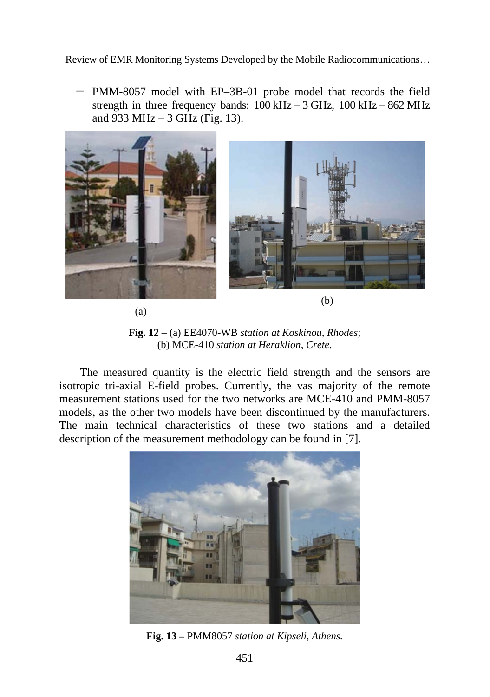̶ PMM-8057 model with EP–3B-01 probe model that records the field strength in three frequency bands:  $100 \text{ kHz} - 3 \text{ GHz}$ ,  $100 \text{ kHz} - 862 \text{ MHz}$ and 933 MHz – 3 GHz (Fig. 13).



(a)

(b)

**Fig. 12** – (a) EE4070-WB *station at Koskinou, Rhodes*; (b) MCE-410 *station at Heraklion, Crete*.

The measured quantity is the electric field strength and the sensors are isotropic tri-axial E-field probes. Currently, the vas majority of the remote measurement stations used for the two networks are MCE-410 and PMM-8057 models, as the other two models have been discontinued by the manufacturers. The main technical characteristics of these two stations and a detailed description of the measurement methodology can be found in [7].



**Fig. 13** *–* PMM8057 *station at Kipseli, Athens.*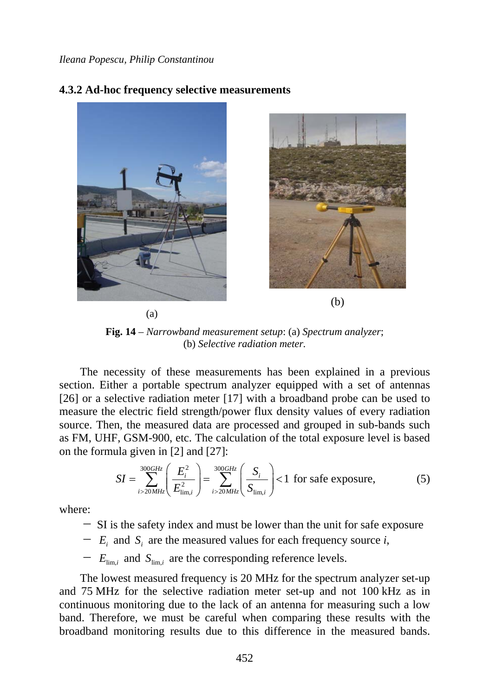#### **4.3.2 Ad-hoc frequency selective measurements**



(a)



(b)

**Fig. 14** – *Narrowband measurement setup*: (a) *Spectrum analyzer*; (b) *Selective radiation meter.* 

The necessity of these measurements has been explained in a previous section. Either a portable spectrum analyzer equipped with a set of antennas [26] or a selective radiation meter [17] with a broadband probe can be used to measure the electric field strength/power flux density values of every radiation source. Then, the measured data are processed and grouped in sub-bands such as FM, UHF, GSM-900, etc. The calculation of the total exposure level is based on the formula given in [2] and [27]:

$$
SI = \sum_{i>20MHz}^{300GHz} \left( \frac{E_i^2}{E_{\text{lim},i}^2} \right) = \sum_{i>20MHz}^{300GHz} \left( \frac{S_i}{S_{\text{lim},i}} \right) < 1 \text{ for safe exposure,}
$$
 (5)

where:

- $\sim$  SI is the safety index and must be lower than the unit for safe exposure
- $E_i$  and  $S_i$  are the measured values for each frequency source *i*,

 $E_{\text{lim,}i}$  and  $S_{\text{lim,}i}$  are the corresponding reference levels.

The lowest measured frequency is 20 MHz for the spectrum analyzer set-up and 75 MHz for the selective radiation meter set-up and not 100 kHz as in continuous monitoring due to the lack of an antenna for measuring such a low band. Therefore, we must be careful when comparing these results with the broadband monitoring results due to this difference in the measured bands.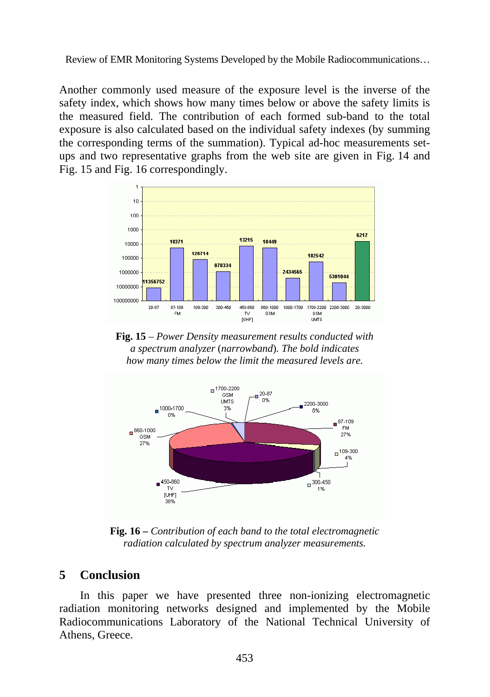Another commonly used measure of the exposure level is the inverse of the safety index, which shows how many times below or above the safety limits is the measured field. The contribution of each formed sub-band to the total exposure is also calculated based on the individual safety indexes (by summing the corresponding terms of the summation). Typical ad-hoc measurements setups and two representative graphs from the web site are given in Fig. 14 and Fig. 15 and Fig. 16 correspondingly.



**Fig. 15** *– Power Density measurement results conducted with a spectrum analyzer* (*narrowband*)*. The bold indicates how many times below the limit the measured levels are.* 



**Fig. 16** *– Contribution of each band to the total electromagnetic radiation calculated by spectrum analyzer measurements.* 

# **5 Conclusion**

In this paper we have presented three non-ionizing electromagnetic radiation monitoring networks designed and implemented by the Mobile Radiocommunications Laboratory of the National Technical University of Athens, Greece.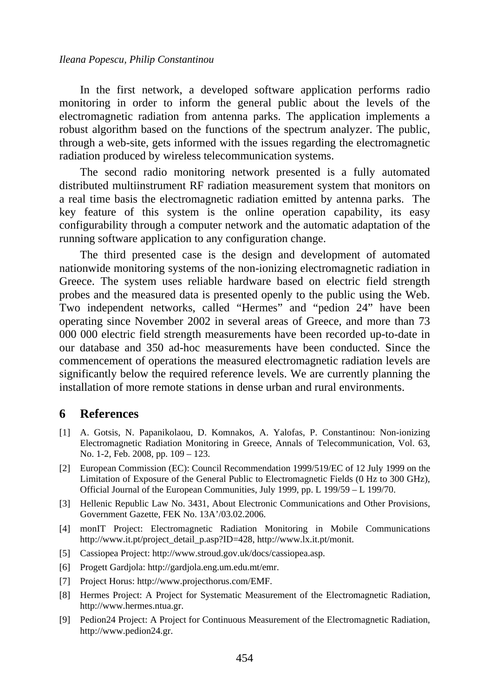#### *Ileana Popescu, Philip Constantinou*

In the first network, a developed software application performs radio monitoring in order to inform the general public about the levels of the electromagnetic radiation from antenna parks. The application implements a robust algorithm based on the functions of the spectrum analyzer. The public, through a web-site, gets informed with the issues regarding the electromagnetic radiation produced by wireless telecommunication systems.

The second radio monitoring network presented is a fully automated distributed multiinstrument RF radiation measurement system that monitors on a real time basis the electromagnetic radiation emitted by antenna parks. The key feature of this system is the online operation capability, its easy configurability through a computer network and the automatic adaptation of the running software application to any configuration change.

The third presented case is the design and development of automated nationwide monitoring systems of the non-ionizing electromagnetic radiation in Greece. The system uses reliable hardware based on electric field strength probes and the measured data is presented openly to the public using the Web. Two independent networks, called "Hermes" and "pedion 24" have been operating since November 2002 in several areas of Greece, and more than 73 000 000 electric field strength measurements have been recorded up-to-date in our database and 350 ad-hoc measurements have been conducted. Since the commencement of operations the measured electromagnetic radiation levels are significantly below the required reference levels. We are currently planning the installation of more remote stations in dense urban and rural environments.

#### **6 References**

- [1] A. Gotsis, N. Papanikolaou, D. Komnakos, A. Yalofas, P. Constantinou: Non-ionizing Electromagnetic Radiation Monitoring in Greece, Annals of Telecommunication, Vol. 63, No. 1-2, Feb. 2008, pp. 109 – 123.
- [2] European Commission (EC): Council Recommendation 1999/519/EC of 12 July 1999 on the Limitation of Exposure of the General Public to Electromagnetic Fields (0 Hz to 300 GHz), Official Journal of the European Communities, July 1999, pp. L 199/59 – L 199/70.
- [3] Hellenic Republic Law No. 3431, About Electronic Communications and Other Provisions, Government Gazette, FEK No. 13A'/03.02.2006.
- [4] monIT Project: Electromagnetic Radiation Monitoring in Mobile Communications http://www.it.pt/project\_detail\_p.asp?ID=428, http://www.lx.it.pt/monit.
- [5] Cassiopea Project: http://www.stroud.gov.uk/docs/cassiopea.asp.
- [6] Progett Gardjola: http://gardjola.eng.um.edu.mt/emr.
- [7] Project Horus: http://www.projecthorus.com/EMF.
- [8] Hermes Project: A Project for Systematic Measurement of the Electromagnetic Radiation, http://www.hermes.ntua.gr.
- [9] Pedion24 Project: A Project for Continuous Measurement of the Electromagnetic Radiation, http://www.pedion24.gr.